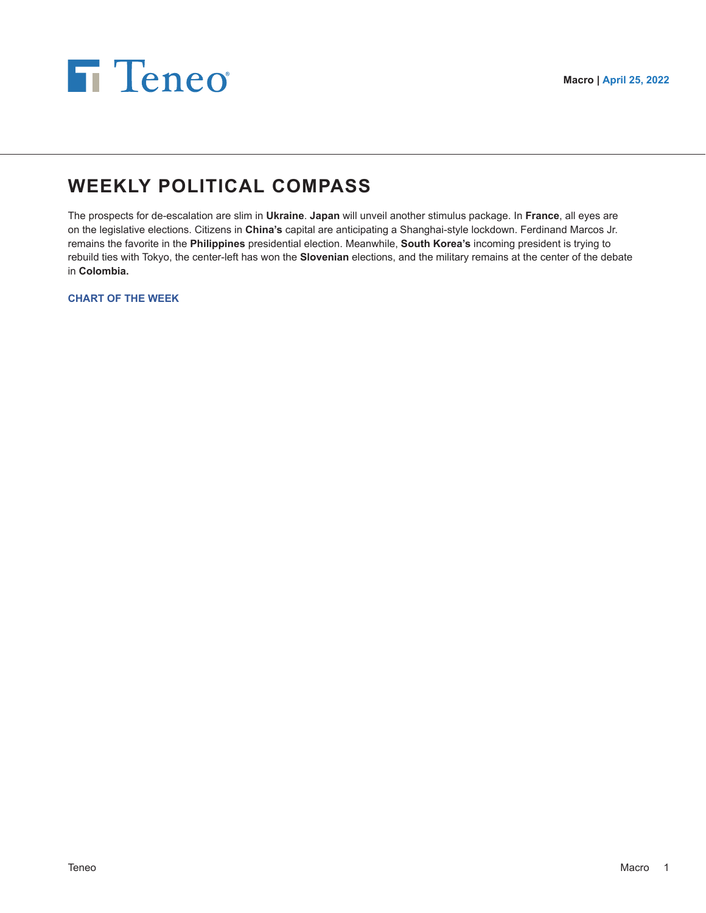



# **WEEKLY POLITICAL COMPASS**

The prospects for de-escalation are slim in **Ukraine**. **Japan** will unveil another stimulus package. In **France**, all eyes are on the legislative elections. Citizens in **China's** capital are anticipating a Shanghai-style lockdown. Ferdinand Marcos Jr. remains the favorite in the **Philippines** presidential election. Meanwhile, **South Korea's** incoming president is trying to rebuild ties with Tokyo, the center-left has won the **Slovenian** elections, and the military remains at the center of the debate in **Colombia.**

**CHART OF THE WEEK**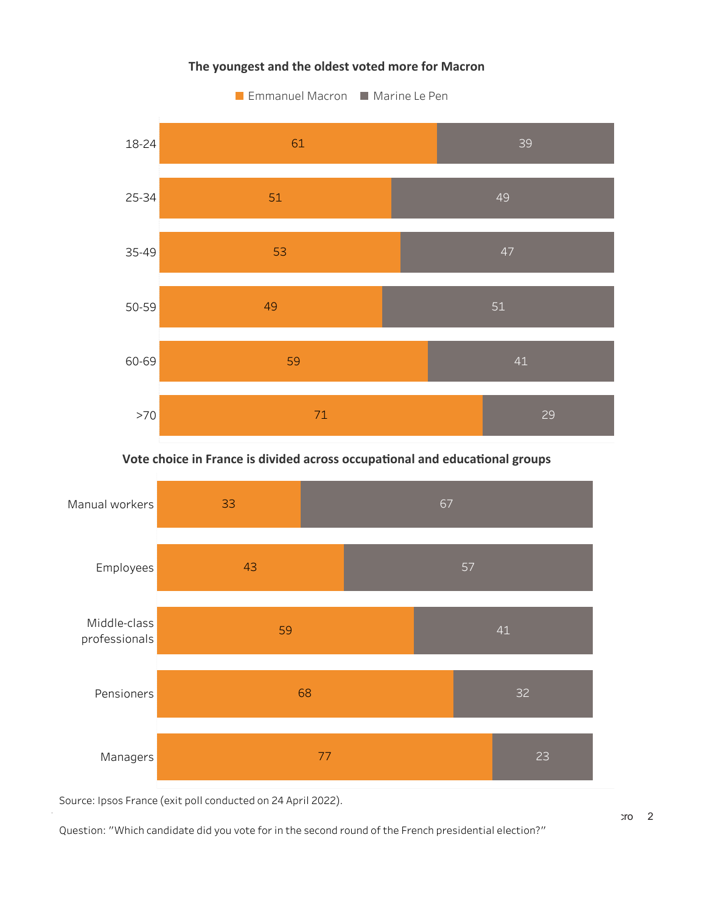# The youngest and the oldest voted more for Macron



# Vote choice in France is divided across occupational and educational groups



Source: Ipsos France (exit poll conducted on 24 April 2022).

Question: "Which candidate did you vote for in the second round of the French presidential election?"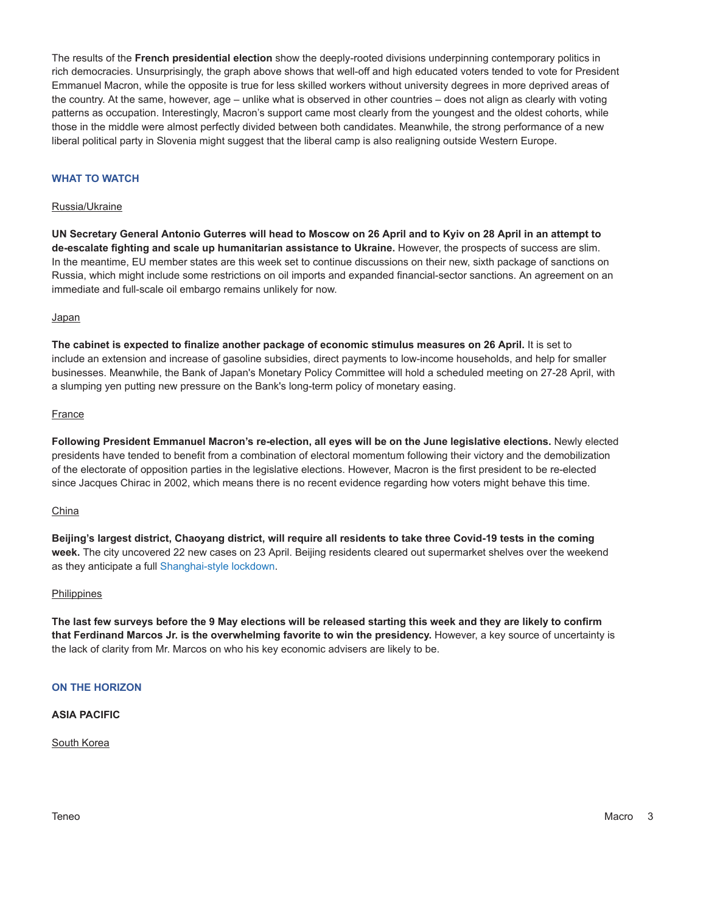The results of the **French presidential election** show the deeply-rooted divisions underpinning contemporary politics in rich democracies. Unsurprisingly, the graph above shows that well-off and high educated voters tended to vote for President Emmanuel Macron, while the opposite is true for less skilled workers without university degrees in more deprived areas of the country. At the same, however, age – unlike what is observed in other countries – does not align as clearly with voting patterns as occupation. Interestingly, Macron's support came most clearly from the youngest and the oldest cohorts, while those in the middle were almost perfectly divided between both candidates. Meanwhile, the strong performance of a new liberal political party in Slovenia might suggest that the liberal camp is also realigning outside Western Europe.

# **WHAT TO WATCH**

#### Russia/Ukraine

**UN Secretary General Antonio Guterres will head to Moscow on 26 April and to Kyiv on 28 April in an attempt to de-escalate fighting and scale up humanitarian assistance to Ukraine.** However, the prospects of success are slim. In the meantime, EU member states are this week set to continue discussions on their new, sixth package of sanctions on Russia, which might include some restrictions on oil imports and expanded financial-sector sanctions. An agreement on an immediate and full-scale oil embargo remains unlikely for now.

#### **Japan**

**The cabinet is expected to finalize another package of economic stimulus measures on 26 April.** It is set to include an extension and increase of gasoline subsidies, direct payments to low-income households, and help for smaller businesses. Meanwhile, the Bank of Japan's Monetary Policy Committee will hold a scheduled meeting on 27-28 April, with a slumping yen putting new pressure on the Bank's long-term policy of monetary easing.

#### France

**Following President Emmanuel Macron's re-election, all eyes will be on the June legislative elections.** Newly elected presidents have tended to benefit from a combination of electoral momentum following their victory and the demobilization of the electorate of opposition parties in the legislative elections. However, Macron is the first president to be re-elected since Jacques Chirac in 2002, which means there is no recent evidence regarding how voters might behave this time.

## China

**Beijing's largest district, Chaoyang district, will require all residents to take three Covid-19 tests in the coming week.** The city uncovered 22 new cases on 23 April. Beijing residents cleared out supermarket shelves over the weekend as they anticipate a full [Shanghai-style lockdown](https://teneointel.bluematrix.com/sellside/EmailDocViewer?encrypt=fcf1f36f-5c13-4766-8cdd-6a21bb545b05&mime=pdf&co=teneointel&id=gabriel.wildau@teneo.com&source=libraryView&htmlToPdf=true).

#### **Philippines**

**The last few surveys before the 9 May elections will be released starting this week and they are likely to confirm that Ferdinand Marcos Jr. is the overwhelming favorite to win the presidency.** However, a key source of uncertainty is the lack of clarity from Mr. Marcos on who his key economic advisers are likely to be.

# **ON THE HORIZON**

## **ASIA PACIFIC**

South Korea